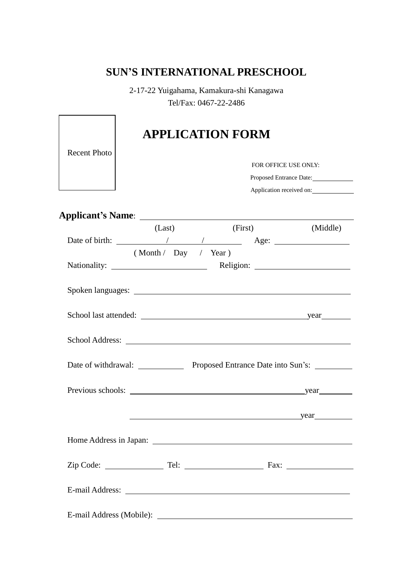## **SUN'S INTERNATIONAL PRESCHOOL**

2-17-22 Yuigahama, Kamakura-shi Kanagawa Tel/Fax: 0467-22-2486

| <b>Recent Photo</b> |                      | <b>APPLICATION FORM</b>  |                         |  |  |
|---------------------|----------------------|--------------------------|-------------------------|--|--|
|                     |                      |                          | FOR OFFICE USE ONLY:    |  |  |
|                     |                      |                          | Proposed Entrance Date: |  |  |
|                     |                      | Application received on: |                         |  |  |
|                     |                      |                          |                         |  |  |
|                     | (Last)               | (First)                  | (Middle)                |  |  |
|                     |                      |                          |                         |  |  |
|                     | (Month / Day / Year) |                          |                         |  |  |
|                     |                      |                          |                         |  |  |
|                     |                      |                          |                         |  |  |
|                     |                      |                          |                         |  |  |
|                     |                      |                          |                         |  |  |
|                     |                      |                          |                         |  |  |
|                     |                      | year                     |                         |  |  |
|                     |                      |                          |                         |  |  |
|                     |                      |                          |                         |  |  |
|                     |                      |                          |                         |  |  |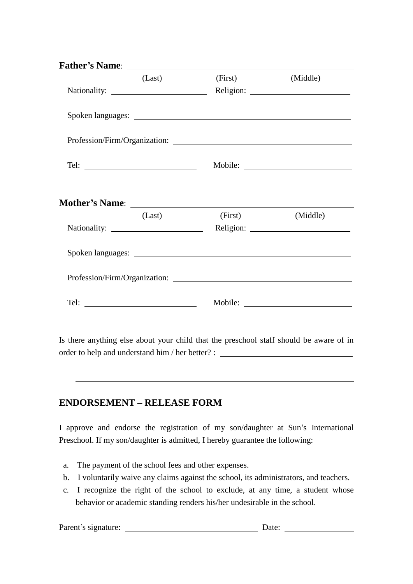| (Last)               | (First) | (Middle) |  |
|----------------------|---------|----------|--|
|                      |         |          |  |
|                      |         |          |  |
|                      |         |          |  |
|                      |         |          |  |
|                      |         |          |  |
| (Last)               | (First) | (Middle) |  |
|                      |         |          |  |
|                      |         |          |  |
|                      |         |          |  |
| Tel: $\qquad \qquad$ |         |          |  |
|                      |         |          |  |

Is there anything else about your child that the preschool staff should be aware of in order to help and understand him / her better? :

## **ENDORSEMENT – RELEASE FORM**

I approve and endorse the registration of my son/daughter at Sun's International Preschool. If my son/daughter is admitted, I hereby guarantee the following:

- a. The payment of the school fees and other expenses.
- b. I voluntarily waive any claims against the school, its administrators, and teachers.
- c. I recognize the right of the school to exclude, at any time, a student whose behavior or academic standing renders his/her undesirable in the school.

Parent's signature: Date: